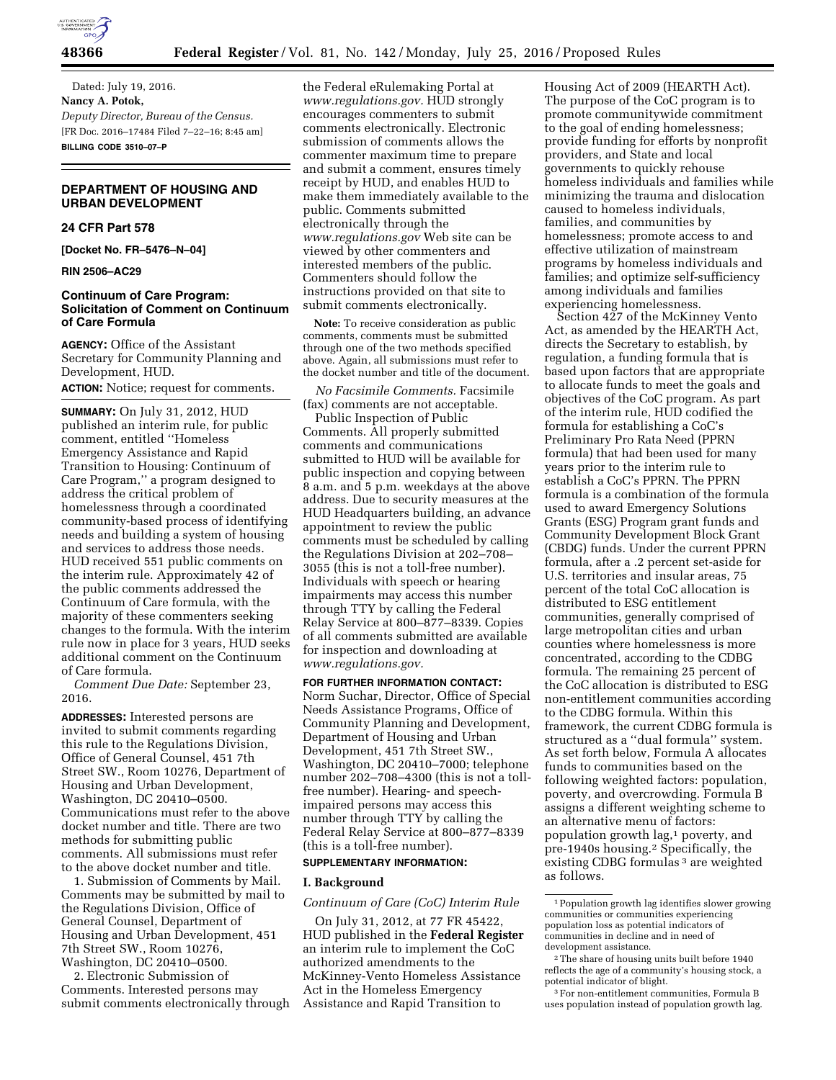

Dated: July 19, 2016. **Nancy A. Potok,**  *Deputy Director, Bureau of the Census.*  [FR Doc. 2016–17484 Filed 7–22–16; 8:45 am] **BILLING CODE 3510–07–P** 

# **DEPARTMENT OF HOUSING AND URBAN DEVELOPMENT**

## **24 CFR Part 578**

**[Docket No. FR–5476–N–04]** 

**RIN 2506–AC29** 

## **Continuum of Care Program: Solicitation of Comment on Continuum of Care Formula**

**AGENCY:** Office of the Assistant Secretary for Community Planning and Development, HUD.

# **ACTION:** Notice; request for comments.

**SUMMARY:** On July 31, 2012, HUD published an interim rule, for public comment, entitled ''Homeless Emergency Assistance and Rapid Transition to Housing: Continuum of Care Program,'' a program designed to address the critical problem of homelessness through a coordinated community-based process of identifying needs and building a system of housing and services to address those needs. HUD received 551 public comments on the interim rule. Approximately 42 of the public comments addressed the Continuum of Care formula, with the majority of these commenters seeking changes to the formula. With the interim rule now in place for 3 years, HUD seeks additional comment on the Continuum of Care formula.

*Comment Due Date:* September 23, 2016.

**ADDRESSES:** Interested persons are invited to submit comments regarding this rule to the Regulations Division, Office of General Counsel, 451 7th Street SW., Room 10276, Department of Housing and Urban Development, Washington, DC 20410–0500. Communications must refer to the above docket number and title. There are two methods for submitting public comments. All submissions must refer to the above docket number and title.

1. Submission of Comments by Mail. Comments may be submitted by mail to the Regulations Division, Office of General Counsel, Department of Housing and Urban Development, 451 7th Street SW., Room 10276, Washington, DC 20410–0500.

2. Electronic Submission of Comments. Interested persons may submit comments electronically through

the Federal eRulemaking Portal at *[www.regulations.gov.](http://www.regulations.gov)* HUD strongly encourages commenters to submit comments electronically. Electronic submission of comments allows the commenter maximum time to prepare and submit a comment, ensures timely receipt by HUD, and enables HUD to make them immediately available to the public. Comments submitted electronically through the *[www.regulations.gov](http://www.regulations.gov)* Web site can be viewed by other commenters and interested members of the public. Commenters should follow the instructions provided on that site to submit comments electronically.

**Note:** To receive consideration as public comments, comments must be submitted through one of the two methods specified above. Again, all submissions must refer to the docket number and title of the document.

*No Facsimile Comments.* Facsimile (fax) comments are not acceptable.

Public Inspection of Public Comments. All properly submitted comments and communications submitted to HUD will be available for public inspection and copying between 8 a.m. and 5 p.m. weekdays at the above address. Due to security measures at the HUD Headquarters building, an advance appointment to review the public comments must be scheduled by calling the Regulations Division at 202–708– 3055 (this is not a toll-free number). Individuals with speech or hearing impairments may access this number through TTY by calling the Federal Relay Service at 800–877–8339. Copies of all comments submitted are available for inspection and downloading at *[www.regulations.gov.](http://www.regulations.gov)* 

**FOR FURTHER INFORMATION CONTACT:**  Norm Suchar, Director, Office of Special Needs Assistance Programs, Office of Community Planning and Development, Department of Housing and Urban Development, 451 7th Street SW., Washington, DC 20410–7000; telephone number 202–708–4300 (this is not a tollfree number). Hearing- and speechimpaired persons may access this number through TTY by calling the Federal Relay Service at 800–877–8339 (this is a toll-free number).

## **SUPPLEMENTARY INFORMATION:**

## **I. Background**

### *Continuum of Care (CoC) Interim Rule*

On July 31, 2012, at 77 FR 45422, HUD published in the **Federal Register**  an interim rule to implement the CoC authorized amendments to the McKinney-Vento Homeless Assistance Act in the Homeless Emergency Assistance and Rapid Transition to

Housing Act of 2009 (HEARTH Act). The purpose of the CoC program is to promote communitywide commitment to the goal of ending homelessness; provide funding for efforts by nonprofit providers, and State and local governments to quickly rehouse homeless individuals and families while minimizing the trauma and dislocation caused to homeless individuals, families, and communities by homelessness; promote access to and effective utilization of mainstream programs by homeless individuals and families; and optimize self-sufficiency among individuals and families experiencing homelessness.

Section 427 of the McKinney Vento Act, as amended by the HEARTH Act, directs the Secretary to establish, by regulation, a funding formula that is based upon factors that are appropriate to allocate funds to meet the goals and objectives of the CoC program. As part of the interim rule, HUD codified the formula for establishing a CoC's Preliminary Pro Rata Need (PPRN formula) that had been used for many years prior to the interim rule to establish a CoC's PPRN. The PPRN formula is a combination of the formula used to award Emergency Solutions Grants (ESG) Program grant funds and Community Development Block Grant (CBDG) funds. Under the current PPRN formula, after a .2 percent set-aside for U.S. territories and insular areas, 75 percent of the total CoC allocation is distributed to ESG entitlement communities, generally comprised of large metropolitan cities and urban counties where homelessness is more concentrated, according to the CDBG formula. The remaining 25 percent of the CoC allocation is distributed to ESG non-entitlement communities according to the CDBG formula. Within this framework, the current CDBG formula is structured as a ''dual formula'' system. As set forth below, Formula A allocates funds to communities based on the following weighted factors: population, poverty, and overcrowding. Formula B assigns a different weighting scheme to an alternative menu of factors: population growth lag,1 poverty, and pre-1940s housing.2 Specifically, the existing CDBG formulas<sup>3</sup> are weighted as follows.

<sup>1</sup>Population growth lag identifies slower growing communities or communities experiencing population loss as potential indicators of communities in decline and in need of development assistance.

 $^{\rm 2}$  The share of housing units built before 1940 reflects the age of a community's housing stock, a potential indicator of blight.

<sup>3</sup>For non-entitlement communities, Formula B uses population instead of population growth lag.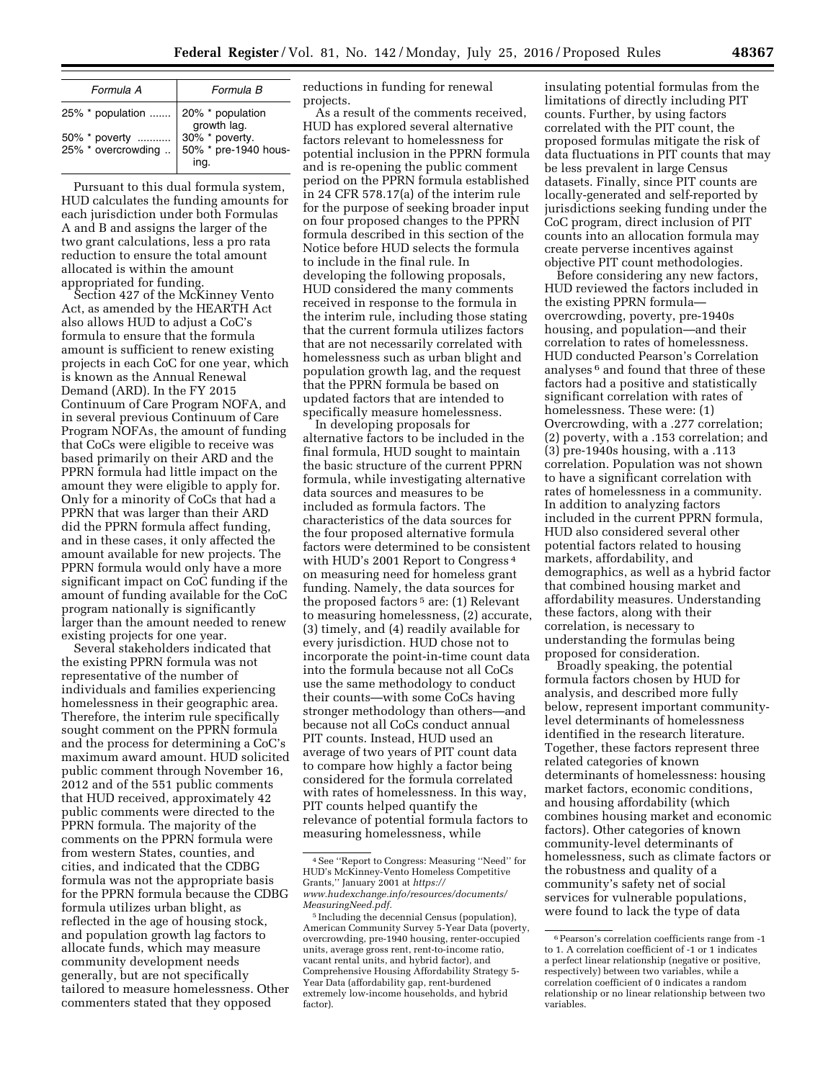| Formula A                                                   | Formula B              |  |
|-------------------------------------------------------------|------------------------|--|
| 25% * population  20% * population<br>growth lag.           |                        |  |
| 50% * poverty<br>25% * overcrowding    50% * pre-1940 hous- | 30% * poverty.<br>ing. |  |

Pursuant to this dual formula system, HUD calculates the funding amounts for each jurisdiction under both Formulas A and B and assigns the larger of the two grant calculations, less a pro rata reduction to ensure the total amount allocated is within the amount appropriated for funding.

Section 427 of the McKinney Vento Act, as amended by the HEARTH Act also allows HUD to adjust a CoC's formula to ensure that the formula amount is sufficient to renew existing projects in each CoC for one year, which is known as the Annual Renewal Demand (ARD). In the FY 2015 Continuum of Care Program NOFA, and in several previous Continuum of Care Program NOFAs, the amount of funding that CoCs were eligible to receive was based primarily on their ARD and the PPRN formula had little impact on the amount they were eligible to apply for. Only for a minority of CoCs that had a PPRN that was larger than their ARD did the PPRN formula affect funding, and in these cases, it only affected the amount available for new projects. The PPRN formula would only have a more significant impact on CoC funding if the amount of funding available for the CoC program nationally is significantly larger than the amount needed to renew existing projects for one year.

Several stakeholders indicated that the existing PPRN formula was not representative of the number of individuals and families experiencing homelessness in their geographic area. Therefore, the interim rule specifically sought comment on the PPRN formula and the process for determining a CoC's maximum award amount. HUD solicited public comment through November 16, 2012 and of the 551 public comments that HUD received, approximately 42 public comments were directed to the PPRN formula. The majority of the comments on the PPRN formula were from western States, counties, and cities, and indicated that the CDBG formula was not the appropriate basis for the PPRN formula because the CDBG formula utilizes urban blight, as reflected in the age of housing stock, and population growth lag factors to allocate funds, which may measure community development needs generally, but are not specifically tailored to measure homelessness. Other commenters stated that they opposed

reductions in funding for renewal projects.

As a result of the comments received, HUD has explored several alternative factors relevant to homelessness for potential inclusion in the PPRN formula and is re-opening the public comment period on the PPRN formula established in 24 CFR 578.17(a) of the interim rule for the purpose of seeking broader input on four proposed changes to the PPRN formula described in this section of the Notice before HUD selects the formula to include in the final rule. In developing the following proposals, HUD considered the many comments received in response to the formula in the interim rule, including those stating that the current formula utilizes factors that are not necessarily correlated with homelessness such as urban blight and population growth lag, and the request that the PPRN formula be based on updated factors that are intended to specifically measure homelessness.

In developing proposals for alternative factors to be included in the final formula, HUD sought to maintain the basic structure of the current PPRN formula, while investigating alternative data sources and measures to be included as formula factors. The characteristics of the data sources for the four proposed alternative formula factors were determined to be consistent with HUD's 2001 Report to Congress 4 on measuring need for homeless grant funding. Namely, the data sources for the proposed factors<sup>5</sup> are: (1) Relevant to measuring homelessness, (2) accurate, (3) timely, and (4) readily available for every jurisdiction. HUD chose not to incorporate the point-in-time count data into the formula because not all CoCs use the same methodology to conduct their counts—with some CoCs having stronger methodology than others—and because not all CoCs conduct annual PIT counts. Instead, HUD used an average of two years of PIT count data to compare how highly a factor being considered for the formula correlated with rates of homelessness. In this way, PIT counts helped quantify the relevance of potential formula factors to measuring homelessness, while

insulating potential formulas from the limitations of directly including PIT counts. Further, by using factors correlated with the PIT count, the proposed formulas mitigate the risk of data fluctuations in PIT counts that may be less prevalent in large Census datasets. Finally, since PIT counts are locally-generated and self-reported by jurisdictions seeking funding under the CoC program, direct inclusion of PIT counts into an allocation formula may create perverse incentives against objective PIT count methodologies.

Before considering any new factors, HUD reviewed the factors included in the existing PPRN formula overcrowding, poverty, pre-1940s housing, and population—and their correlation to rates of homelessness. HUD conducted Pearson's Correlation analyses 6 and found that three of these factors had a positive and statistically significant correlation with rates of homelessness. These were: (1) Overcrowding, with a .277 correlation; (2) poverty, with a .153 correlation; and (3) pre-1940s housing, with a .113 correlation. Population was not shown to have a significant correlation with rates of homelessness in a community. In addition to analyzing factors included in the current PPRN formula, HUD also considered several other potential factors related to housing markets, affordability, and demographics, as well as a hybrid factor that combined housing market and affordability measures. Understanding these factors, along with their correlation, is necessary to understanding the formulas being proposed for consideration.

Broadly speaking, the potential formula factors chosen by HUD for analysis, and described more fully below, represent important communitylevel determinants of homelessness identified in the research literature. Together, these factors represent three related categories of known determinants of homelessness: housing market factors, economic conditions, and housing affordability (which combines housing market and economic factors). Other categories of known community-level determinants of homelessness, such as climate factors or the robustness and quality of a community's safety net of social services for vulnerable populations, were found to lack the type of data

<sup>4</sup>See ''Report to Congress: Measuring ''Need'' for HUD's McKinney-Vento Homeless Competitive Grants,'' January 2001 at *[https://](https://www.hudexchange.info/resources/documents/MeasuringNeed.pdf) [www.hudexchange.info/resources/documents/](https://www.hudexchange.info/resources/documents/MeasuringNeed.pdf) [MeasuringNeed.pdf.](https://www.hudexchange.info/resources/documents/MeasuringNeed.pdf)* 

<sup>5</sup> Including the decennial Census (population), American Community Survey 5-Year Data (poverty, overcrowding, pre-1940 housing, renter-occupied units, average gross rent, rent-to-income ratio, vacant rental units, and hybrid factor), and Comprehensive Housing Affordability Strategy 5- Year Data (affordability gap, rent-burdened extremely low-income households, and hybrid factor).

<sup>6</sup>Pearson's correlation coefficients range from -1 to 1. A correlation coefficient of -1 or 1 indicates a perfect linear relationship (negative or positive, respectively) between two variables, while a correlation coefficient of 0 indicates a random relationship or no linear relationship between two variables.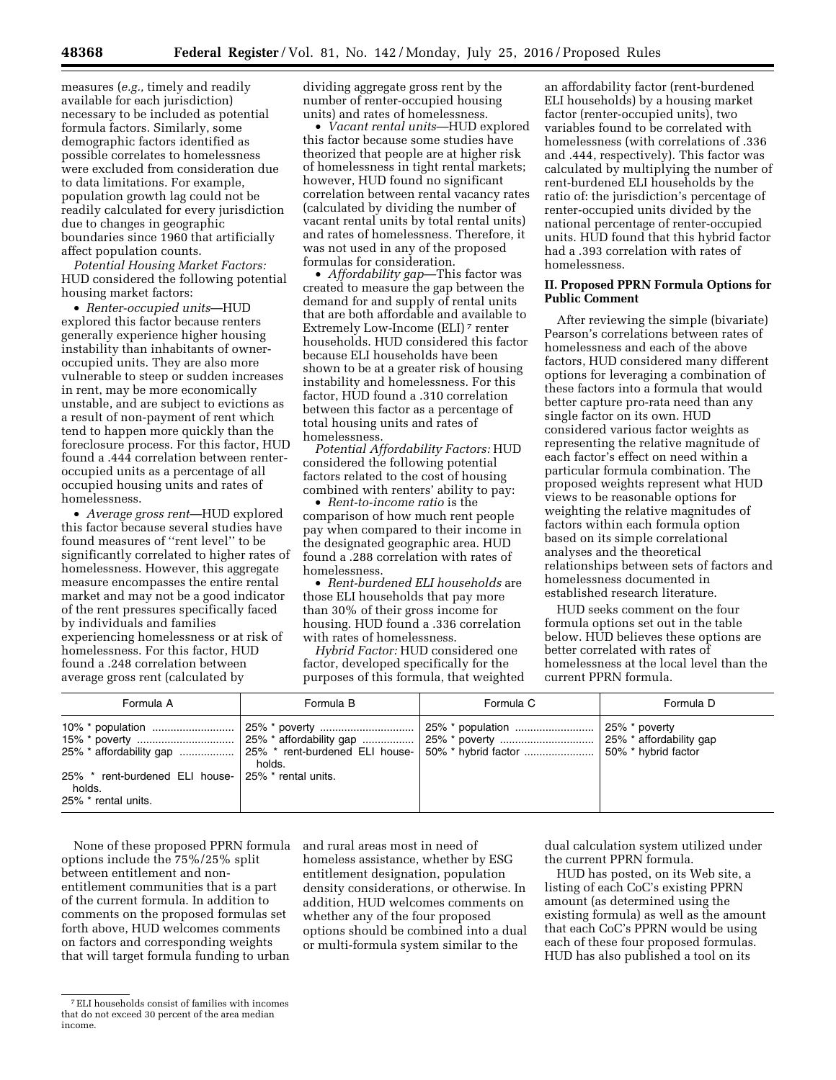measures (*e.g.,* timely and readily available for each jurisdiction) necessary to be included as potential formula factors. Similarly, some demographic factors identified as possible correlates to homelessness were excluded from consideration due to data limitations. For example, population growth lag could not be readily calculated for every jurisdiction due to changes in geographic boundaries since 1960 that artificially affect population counts.

*Potential Housing Market Factors:*  HUD considered the following potential housing market factors:

• *Renter-occupied units*—HUD explored this factor because renters generally experience higher housing instability than inhabitants of owneroccupied units. They are also more vulnerable to steep or sudden increases in rent, may be more economically unstable, and are subject to evictions as a result of non-payment of rent which tend to happen more quickly than the foreclosure process. For this factor, HUD found a .444 correlation between renteroccupied units as a percentage of all occupied housing units and rates of homelessness.

• *Average gross rent*—HUD explored this factor because several studies have found measures of ''rent level'' to be significantly correlated to higher rates of homelessness. However, this aggregate measure encompasses the entire rental market and may not be a good indicator of the rent pressures specifically faced by individuals and families experiencing homelessness or at risk of homelessness. For this factor, HUD found a .248 correlation between average gross rent (calculated by

dividing aggregate gross rent by the number of renter-occupied housing units) and rates of homelessness.

• *Vacant rental units*—HUD explored this factor because some studies have theorized that people are at higher risk of homelessness in tight rental markets; however, HUD found no significant correlation between rental vacancy rates (calculated by dividing the number of vacant rental units by total rental units) and rates of homelessness. Therefore, it was not used in any of the proposed formulas for consideration.

• *Affordability gap*—This factor was created to measure the gap between the demand for and supply of rental units that are both affordable and available to Extremely Low-Income (ELI) 7 renter households. HUD considered this factor because ELI households have been shown to be at a greater risk of housing instability and homelessness. For this factor, HUD found a .310 correlation between this factor as a percentage of total housing units and rates of homelessness.

*Potential Affordability Factors:* HUD considered the following potential factors related to the cost of housing combined with renters' ability to pay:

• *Rent-to-income ratio* is the comparison of how much rent people pay when compared to their income in the designated geographic area. HUD found a .288 correlation with rates of homelessness.

• *Rent-burdened ELI households* are those ELI households that pay more than 30% of their gross income for housing. HUD found a .336 correlation with rates of homelessness.

*Hybrid Factor:* HUD considered one factor, developed specifically for the purposes of this formula, that weighted

an affordability factor (rent-burdened ELI households) by a housing market factor (renter-occupied units), two variables found to be correlated with homelessness (with correlations of .336 and .444, respectively). This factor was calculated by multiplying the number of rent-burdened ELI households by the ratio of: the jurisdiction's percentage of renter-occupied units divided by the national percentage of renter-occupied units. HUD found that this hybrid factor had a .393 correlation with rates of homelessness.

## **II. Proposed PPRN Formula Options for Public Comment**

After reviewing the simple (bivariate) Pearson's correlations between rates of homelessness and each of the above factors, HUD considered many different options for leveraging a combination of these factors into a formula that would better capture pro-rata need than any single factor on its own. HUD considered various factor weights as representing the relative magnitude of each factor's effect on need within a particular formula combination. The proposed weights represent what HUD views to be reasonable options for weighting the relative magnitudes of factors within each formula option based on its simple correlational analyses and the theoretical relationships between sets of factors and homelessness documented in established research literature.

HUD seeks comment on the four formula options set out in the table below. HUD believes these options are better correlated with rates of homelessness at the local level than the current PPRN formula.

| Formula A                                                                           | Formula B | Formula C | Formula D |
|-------------------------------------------------------------------------------------|-----------|-----------|-----------|
|                                                                                     | holds.    |           |           |
| 25% * rent-burdened ELI house- 25% * rental units.<br>holds.<br>25% * rental units. |           |           |           |

None of these proposed PPRN formula options include the 75%/25% split between entitlement and nonentitlement communities that is a part of the current formula. In addition to comments on the proposed formulas set forth above, HUD welcomes comments on factors and corresponding weights that will target formula funding to urban

and rural areas most in need of homeless assistance, whether by ESG entitlement designation, population density considerations, or otherwise. In addition, HUD welcomes comments on whether any of the four proposed options should be combined into a dual or multi-formula system similar to the

dual calculation system utilized under the current PPRN formula.

HUD has posted, on its Web site, a listing of each CoC's existing PPRN amount (as determined using the existing formula) as well as the amount that each CoC's PPRN would be using each of these four proposed formulas. HUD has also published a tool on its

<sup>7</sup>ELI households consist of families with incomes that do not exceed 30 percent of the area median income.